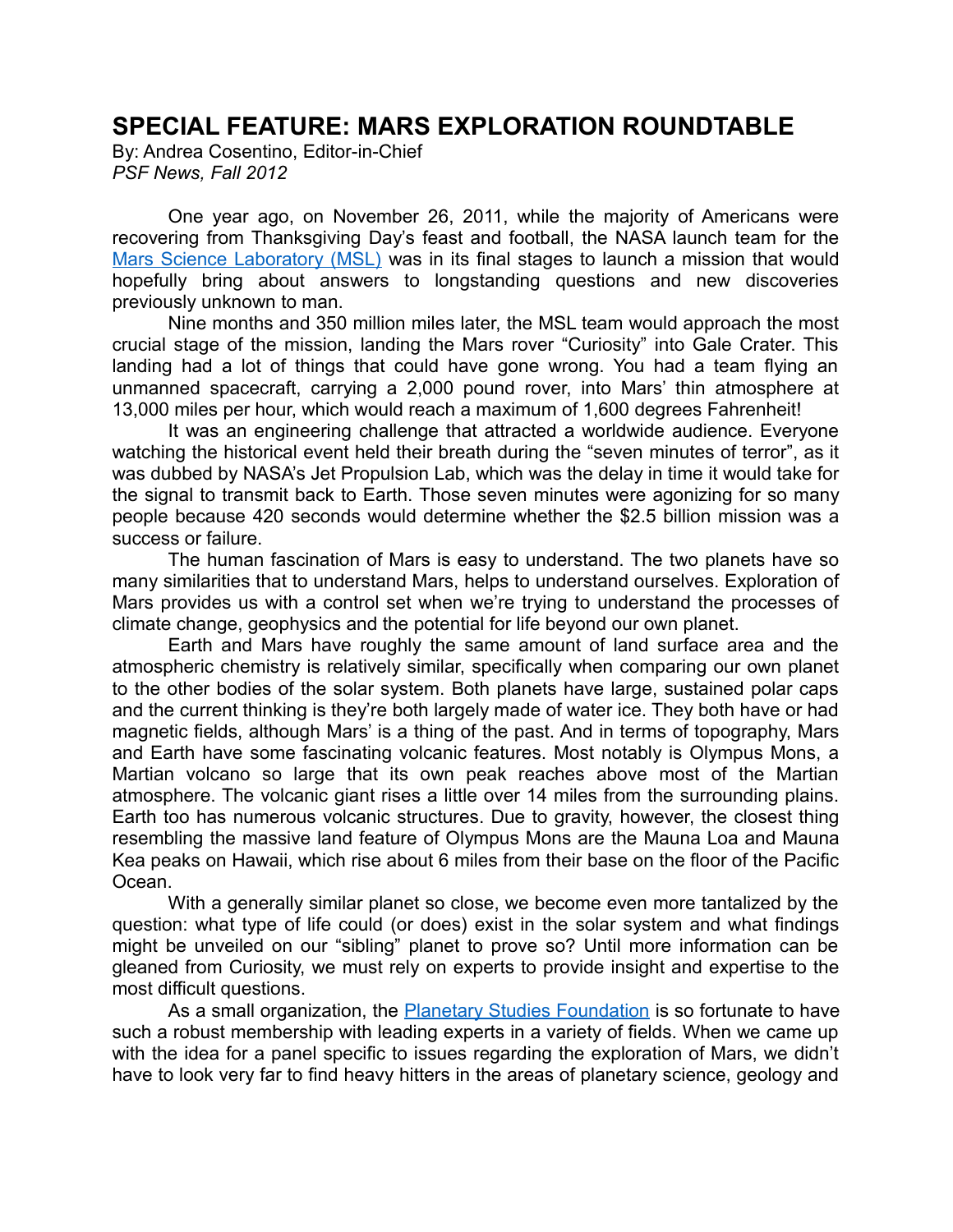# **SPECIAL FEATURE: MARS EXPLORATION ROUNDTABLE**

By: Andrea Cosentino, Editor-in-Chief *PSF News, Fall 2012*

One year ago, on November 26, 2011, while the majority of Americans were recovering from Thanksgiving Day's feast and football, the NASA launch team for the [Mars Science Laboratory \(MSL\)](http://mars.jpl.nasa.gov/msl/) was in its final stages to launch a mission that would hopefully bring about answers to longstanding questions and new discoveries previously unknown to man.

Nine months and 350 million miles later, the MSL team would approach the most crucial stage of the mission, landing the Mars rover "Curiosity" into Gale Crater. This landing had a lot of things that could have gone wrong. You had a team flying an unmanned spacecraft, carrying a 2,000 pound rover, into Mars' thin atmosphere at 13,000 miles per hour, which would reach a maximum of 1,600 degrees Fahrenheit!

It was an engineering challenge that attracted a worldwide audience. Everyone watching the historical event held their breath during the "seven minutes of terror", as it was dubbed by NASA's Jet Propulsion Lab, which was the delay in time it would take for the signal to transmit back to Earth. Those seven minutes were agonizing for so many people because 420 seconds would determine whether the \$2.5 billion mission was a success or failure.

The human fascination of Mars is easy to understand. The two planets have so many similarities that to understand Mars, helps to understand ourselves. Exploration of Mars provides us with a control set when we're trying to understand the processes of climate change, geophysics and the potential for life beyond our own planet.

Earth and Mars have roughly the same amount of land surface area and the atmospheric chemistry is relatively similar, specifically when comparing our own planet to the other bodies of the solar system. Both planets have large, sustained polar caps and the current thinking is they're both largely made of water ice. They both have or had magnetic fields, although Mars' is a thing of the past. And in terms of topography, Mars and Earth have some fascinating volcanic features. Most notably is Olympus Mons, a Martian volcano so large that its own peak reaches above most of the Martian atmosphere. The volcanic giant rises a little over 14 miles from the surrounding plains. Earth too has numerous volcanic structures. Due to gravity, however, the closest thing resembling the massive land feature of Olympus Mons are the Mauna Loa and Mauna Kea peaks on Hawaii, which rise about 6 miles from their base on the floor of the Pacific Ocean.

With a generally similar planet so close, we become even more tantalized by the question: what type of life could (or does) exist in the solar system and what findings might be unveiled on our "sibling" planet to prove so? Until more information can be gleaned from Curiosity, we must rely on experts to provide insight and expertise to the most difficult questions.

As a small organization, the **Planetary Studies Foundation** is so fortunate to have such a robust membership with leading experts in a variety of fields. When we came up with the idea for a panel specific to issues regarding the exploration of Mars, we didn't have to look very far to find heavy hitters in the areas of planetary science, geology and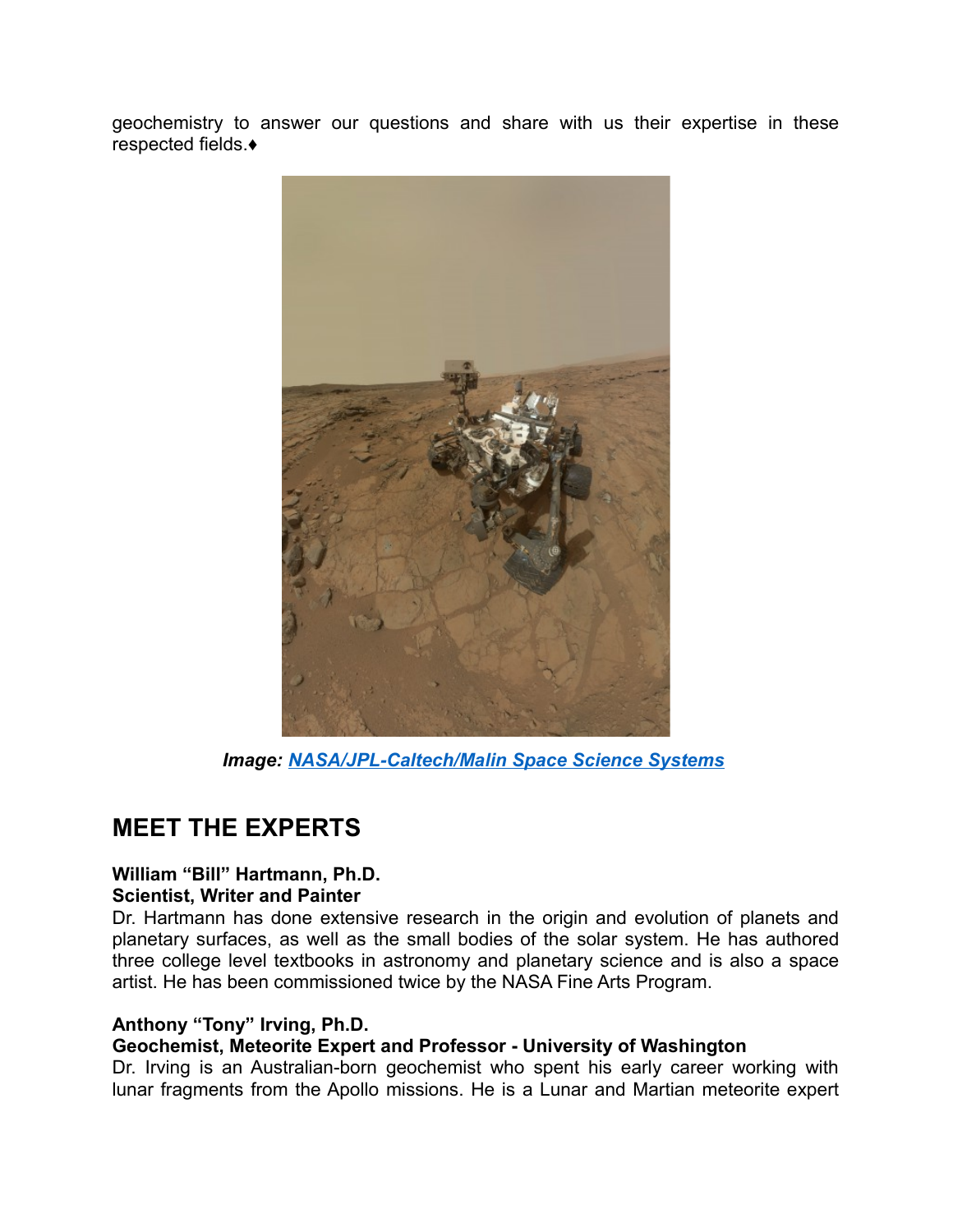geochemistry to answer our questions and share with us their expertise in these respected fields.♦



*Image:[INASA/JPL-Caltech/Malin Space Science Systems](http://www.nasa.gov/mission_pages/msl/multimedia/pia16239.html)*

# **MEET THE EXPERTS**

# **William "Bill" Hartmann, Ph.D.**

# **Scientist, Writer and Painter**

Dr. Hartmann has done extensive research in the origin and evolution of planets and planetary surfaces, as well as the small bodies of the solar system. He has authored three college level textbooks in astronomy and planetary science and is also a space artist. He has been commissioned twice by the NASA Fine Arts Program.

# **Anthony "Tony" Irving, Ph.D.**

# **Geochemist, Meteorite Expert and Professor - University of Washington**

Dr. Irving is an Australian-born geochemist who spent his early career working with lunar fragments from the Apollo missions. He is a Lunar and Martian meteorite expert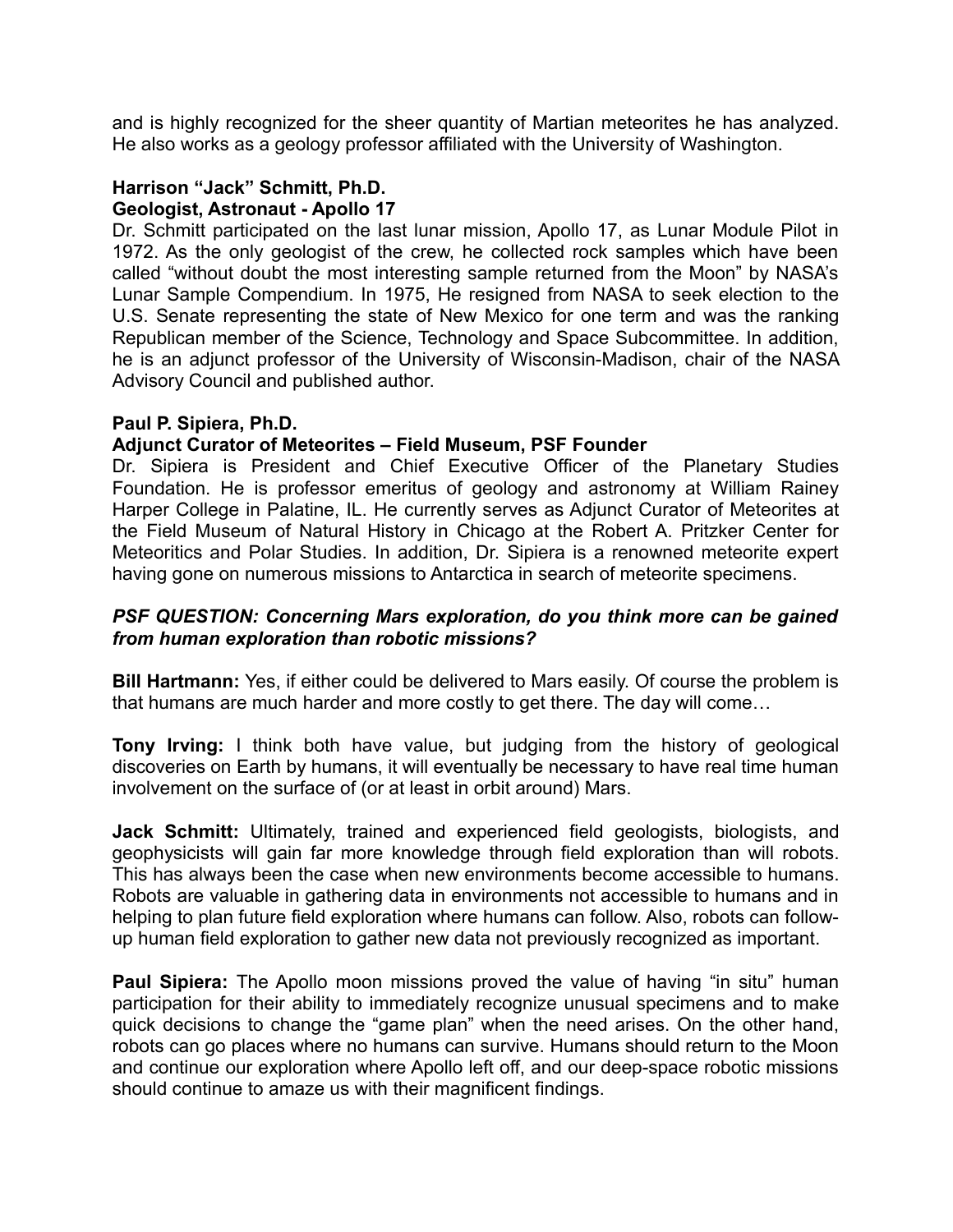and is highly recognized for the sheer quantity of Martian meteorites he has analyzed. He also works as a geology professor affiliated with the University of Washington.

# **Harrison "Jack" Schmitt, Ph.D.**

#### **Geologist, Astronaut - Apollo 17**

Dr. Schmitt participated on the last lunar mission, Apollo 17, as Lunar Module Pilot in 1972. As the only geologist of the crew, he collected rock samples which have been called "without doubt the most interesting sample returned from the Moon" by NASA's Lunar Sample Compendium. In 1975, He resigned from NASA to seek election to the U.S. Senate representing the state of New Mexico for one term and was the ranking Republican member of the Science, Technology and Space Subcommittee. In addition, he is an adjunct professor of the University of Wisconsin-Madison, chair of the NASA Advisory Council and published author.

#### **Paul P. Sipiera, Ph.D.**

#### **Adjunct Curator of Meteorites – Field Museum, PSF Founder**

Dr. Sipiera is President and Chief Executive Officer of the Planetary Studies Foundation. He is professor emeritus of geology and astronomy at William Rainey Harper College in Palatine, IL. He currently serves as Adjunct Curator of Meteorites at the Field Museum of Natural History in Chicago at the Robert A. Pritzker Center for Meteoritics and Polar Studies. In addition, Dr. Sipiera is a renowned meteorite expert having gone on numerous missions to Antarctica in search of meteorite specimens.

# *PSF QUESTION: Concerning Mars exploration, do you think more can be gained from human exploration than robotic missions?*

**Bill Hartmann:** Yes, if either could be delivered to Mars easily. Of course the problem is that humans are much harder and more costly to get there. The day will come…

**Tony Irving:** I think both have value, but judging from the history of geological discoveries on Earth by humans, it will eventually be necessary to have real time human involvement on the surface of (or at least in orbit around) Mars.

**Jack Schmitt:** Ultimately, trained and experienced field geologists, biologists, and geophysicists will gain far more knowledge through field exploration than will robots. This has always been the case when new environments become accessible to humans. Robots are valuable in gathering data in environments not accessible to humans and in helping to plan future field exploration where humans can follow. Also, robots can followup human field exploration to gather new data not previously recognized as important.

**Paul Sipiera:** The Apollo moon missions proved the value of having "in situ" human participation for their ability to immediately recognize unusual specimens and to make quick decisions to change the "game plan" when the need arises. On the other hand, robots can go places where no humans can survive. Humans should return to the Moon and continue our exploration where Apollo left off, and our deep-space robotic missions should continue to amaze us with their magnificent findings.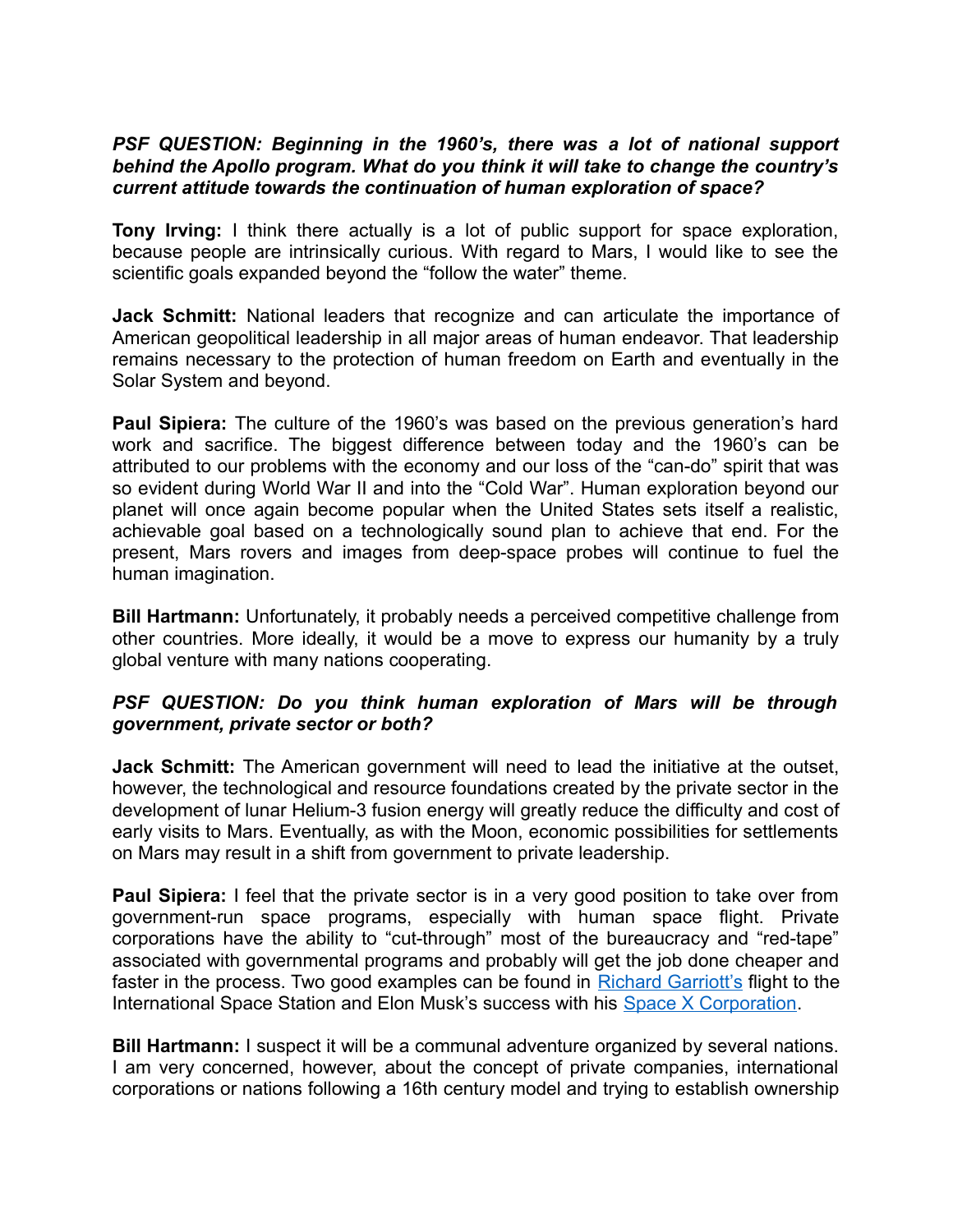# *PSF QUESTION: Beginning in the 1960's, there was a lot of national support behind the Apollo program. What do you think it will take to change the country's current attitude towards the continuation of human exploration of space?*

**Tony Irving:** I think there actually is a lot of public support for space exploration, because people are intrinsically curious. With regard to Mars, I would like to see the scientific goals expanded beyond the "follow the water" theme.

**Jack Schmitt:** National leaders that recognize and can articulate the importance of American geopolitical leadership in all major areas of human endeavor. That leadership remains necessary to the protection of human freedom on Earth and eventually in the Solar System and beyond.

**Paul Sipiera:** The culture of the 1960's was based on the previous generation's hard work and sacrifice. The biggest difference between today and the 1960's can be attributed to our problems with the economy and our loss of the "can-do" spirit that was so evident during World War II and into the "Cold War". Human exploration beyond our planet will once again become popular when the United States sets itself a realistic, achievable goal based on a technologically sound plan to achieve that end. For the present, Mars rovers and images from deep-space probes will continue to fuel the human imagination.

**Bill Hartmann:** Unfortunately, it probably needs a perceived competitive challenge from other countries. More ideally, it would be a move to express our humanity by a truly global venture with many nations cooperating.

# *PSF QUESTION: Do you think human exploration of Mars will be through government, private sector or both?*

**Jack Schmitt:** The American government will need to lead the initiative at the outset, however, the technological and resource foundations created by the private sector in the development of lunar Helium-3 fusion energy will greatly reduce the difficulty and cost of early visits to Mars. Eventually, as with the Moon, economic possibilities for settlements on Mars may result in a shift from government to private leadership.

**Paul Sipiera:** I feel that the private sector is in a very good position to take over from government-run space programs, especially with human space flight. Private corporations have the ability to "cut-through" most of the bureaucracy and "red-tape" associated with governmental programs and probably will get the job done cheaper and faster in the process. Two good examples can be found in [Richard Garriott's](http://richardgarriott.com/) flight to the International Space Station and Elon Musk's success with his [Space X Corporation.](http://www.spacex.com/)

**Bill Hartmann:** I suspect it will be a communal adventure organized by several nations. I am very concerned, however, about the concept of private companies, international corporations or nations following a 16th century model and trying to establish ownership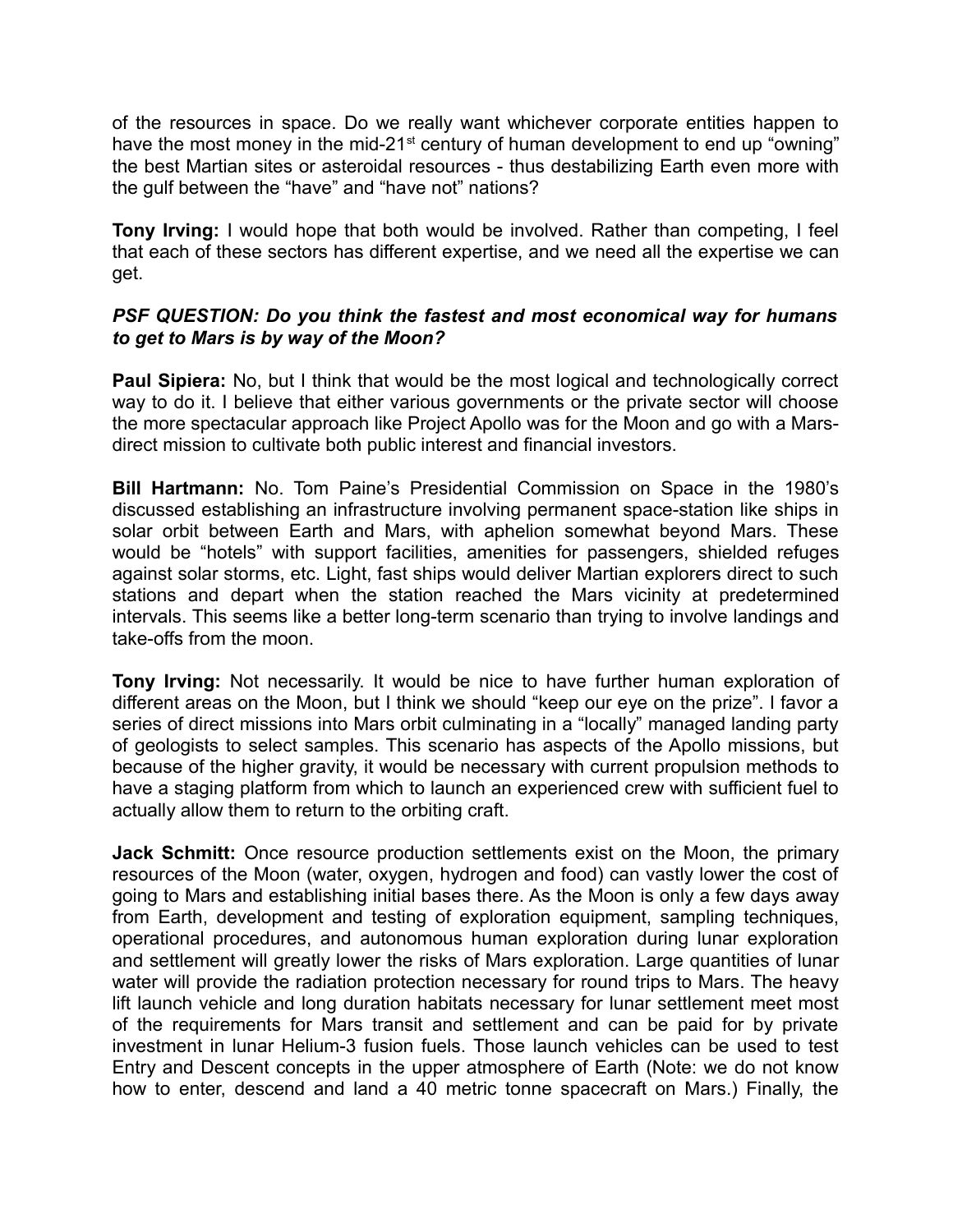of the resources in space. Do we really want whichever corporate entities happen to have the most money in the mid-21<sup>st</sup> century of human development to end up "owning" the best Martian sites or asteroidal resources - thus destabilizing Earth even more with the gulf between the "have" and "have not" nations?

**Tony Irving:** I would hope that both would be involved. Rather than competing, I feel that each of these sectors has different expertise, and we need all the expertise we can get.

# *PSF QUESTION: Do you think the fastest and most economical way for humans to get to Mars is by way of the Moon?*

**Paul Sipiera:** No, but I think that would be the most logical and technologically correct way to do it. I believe that either various governments or the private sector will choose the more spectacular approach like Project Apollo was for the Moon and go with a Marsdirect mission to cultivate both public interest and financial investors.

**Bill Hartmann:** No. Tom Paine's Presidential Commission on Space in the 1980's discussed establishing an infrastructure involving permanent space-station like ships in solar orbit between Earth and Mars, with aphelion somewhat beyond Mars. These would be "hotels" with support facilities, amenities for passengers, shielded refuges against solar storms, etc. Light, fast ships would deliver Martian explorers direct to such stations and depart when the station reached the Mars vicinity at predetermined intervals. This seems like a better long-term scenario than trying to involve landings and take-offs from the moon.

**Tony Irving:** Not necessarily. It would be nice to have further human exploration of different areas on the Moon, but I think we should "keep our eye on the prize". I favor a series of direct missions into Mars orbit culminating in a "locally" managed landing party of geologists to select samples. This scenario has aspects of the Apollo missions, but because of the higher gravity, it would be necessary with current propulsion methods to have a staging platform from which to launch an experienced crew with sufficient fuel to actually allow them to return to the orbiting craft.

**Jack Schmitt:** Once resource production settlements exist on the Moon, the primary resources of the Moon (water, oxygen, hydrogen and food) can vastly lower the cost of going to Mars and establishing initial bases there. As the Moon is only a few days away from Earth, development and testing of exploration equipment, sampling techniques, operational procedures, and autonomous human exploration during lunar exploration and settlement will greatly lower the risks of Mars exploration. Large quantities of lunar water will provide the radiation protection necessary for round trips to Mars. The heavy lift launch vehicle and long duration habitats necessary for lunar settlement meet most of the requirements for Mars transit and settlement and can be paid for by private investment in lunar Helium-3 fusion fuels. Those launch vehicles can be used to test Entry and Descent concepts in the upper atmosphere of Earth (Note: we do not know how to enter, descend and land a 40 metric tonne spacecraft on Mars.) Finally, the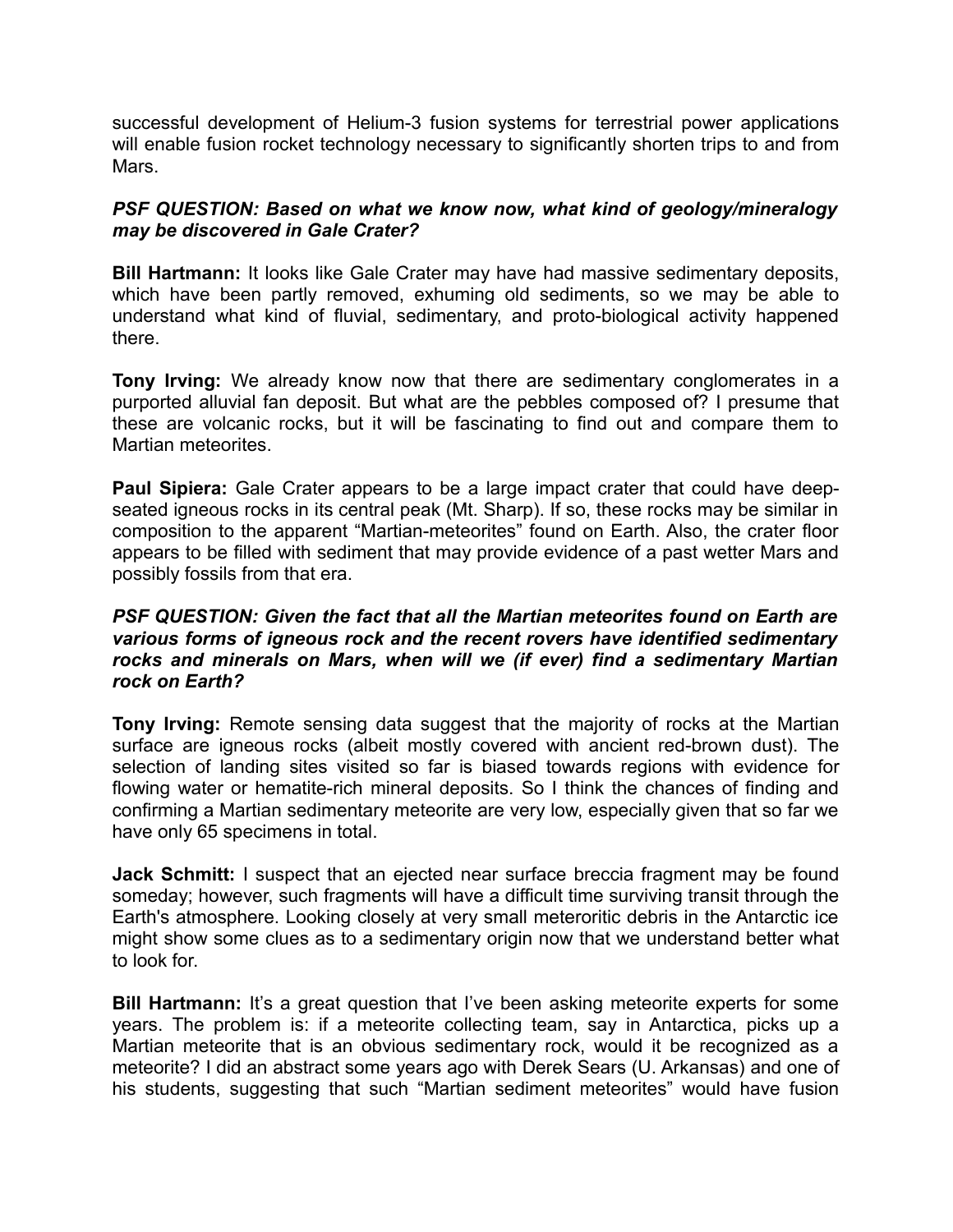successful development of Helium-3 fusion systems for terrestrial power applications will enable fusion rocket technology necessary to significantly shorten trips to and from Mars.

# *PSF QUESTION: Based on what we know now, what kind of geology/mineralogy may be discovered in Gale Crater?*

**Bill Hartmann:** It looks like Gale Crater may have had massive sedimentary deposits, which have been partly removed, exhuming old sediments, so we may be able to understand what kind of fluvial, sedimentary, and proto-biological activity happened there.

**Tony Irving:** We already know now that there are sedimentary conglomerates in a purported alluvial fan deposit. But what are the pebbles composed of? I presume that these are volcanic rocks, but it will be fascinating to find out and compare them to Martian meteorites.

**Paul Sipiera:** Gale Crater appears to be a large impact crater that could have deepseated igneous rocks in its central peak (Mt. Sharp). If so, these rocks may be similar in composition to the apparent "Martian-meteorites" found on Earth. Also, the crater floor appears to be filled with sediment that may provide evidence of a past wetter Mars and possibly fossils from that era.

#### *PSF QUESTION: Given the fact that all the Martian meteorites found on Earth are various forms of igneous rock and the recent rovers have identified sedimentary rocks and minerals on Mars, when will we (if ever) find a sedimentary Martian rock on Earth?*

**Tony Irving:** Remote sensing data suggest that the majority of rocks at the Martian surface are igneous rocks (albeit mostly covered with ancient red-brown dust). The selection of landing sites visited so far is biased towards regions with evidence for flowing water or hematite-rich mineral deposits. So I think the chances of finding and confirming a Martian sedimentary meteorite are very low, especially given that so far we have only 65 specimens in total.

**Jack Schmitt:** I suspect that an ejected near surface breccia fragment may be found someday; however, such fragments will have a difficult time surviving transit through the Earth's atmosphere. Looking closely at very small meteroritic debris in the Antarctic ice might show some clues as to a sedimentary origin now that we understand better what to look for.

**Bill Hartmann:** It's a great question that I've been asking meteorite experts for some years. The problem is: if a meteorite collecting team, say in Antarctica, picks up a Martian meteorite that is an obvious sedimentary rock, would it be recognized as a meteorite? I did an abstract some years ago with Derek Sears (U. Arkansas) and one of his students, suggesting that such "Martian sediment meteorites" would have fusion